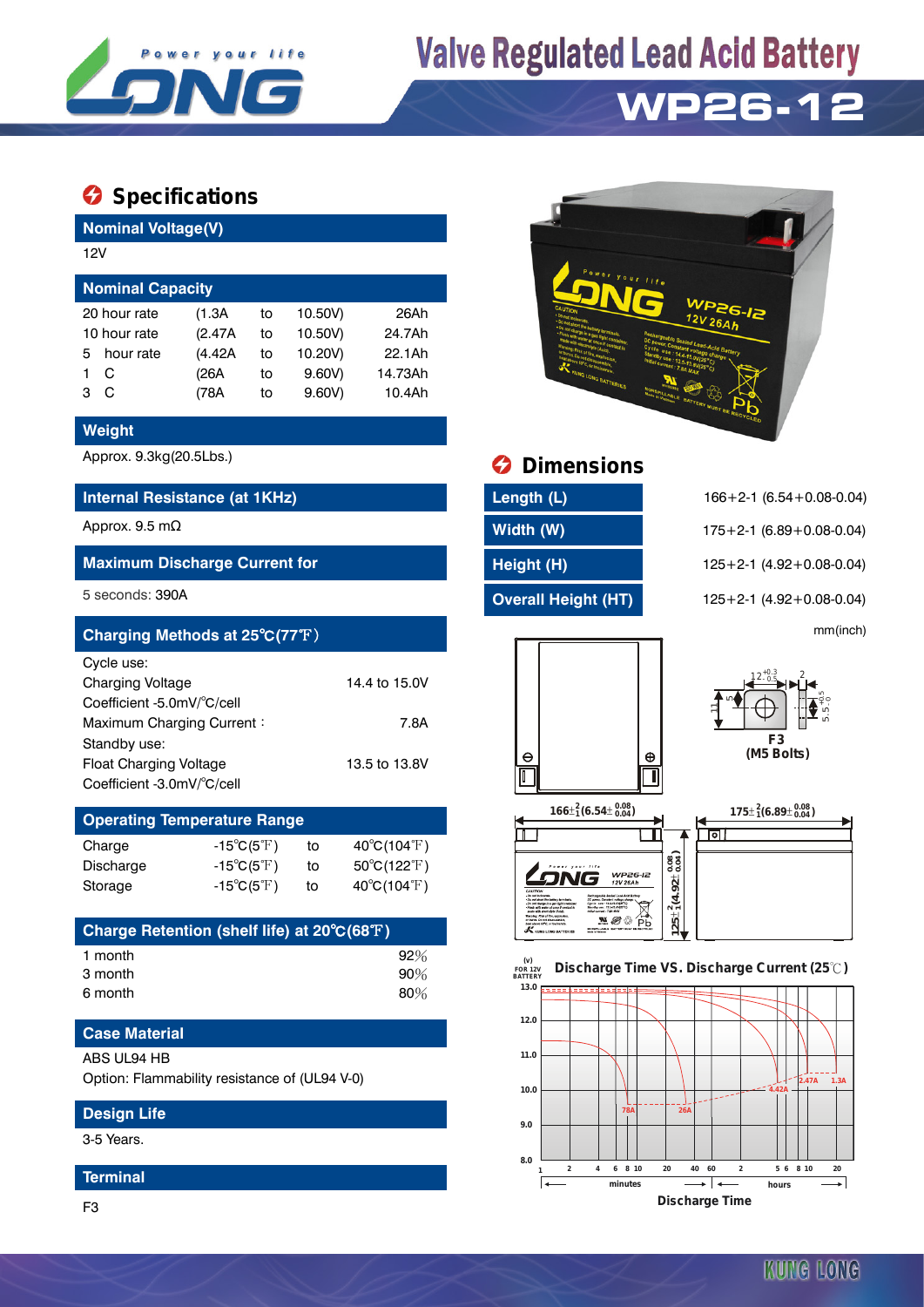

# **Valve Regulated Lead Acid Battery**

# **WP26-12**

# $\bullet$  Specifications

**Nominal Voltage(V)**

| <b>Nominal Capacity</b> |    |         |         |  |  |  |  |
|-------------------------|----|---------|---------|--|--|--|--|
| (1.3A)                  | to | 10.50V) | 26Ah    |  |  |  |  |
| (2.47A)                 | to | 10.50V) | 24.7Ah  |  |  |  |  |
| (4.42A)                 | to | 10.20V) | 22.1Ah  |  |  |  |  |
| (26A                    | to | 9.60V   | 14.73Ah |  |  |  |  |
| (78A                    | to | 9.60V   | 10.4Ah  |  |  |  |  |
|                         |    |         |         |  |  |  |  |

### **Weight**

### **Internal Resistance (at 1KHz) Length (L)** 166+2-1 (6.54+0.08-0.04)

### **Maximum Discharge Current for Height (H)** 125+2-1 (4.92+0.08-0.04)

| Charging Methods at 25°C(77°F) |               |   | mm(inch) |            |
|--------------------------------|---------------|---|----------|------------|
| Cycle use:                     |               |   |          |            |
| <b>Charging Voltage</b>        | 14.4 to 15.0V |   |          |            |
| Coefficient -5.0mV/°C/cell     |               |   |          |            |
| Maximum Charging Current:      | 7.8A          |   |          |            |
| Standby use:                   |               |   |          | F3         |
| <b>Float Charging Voltage</b>  | 13.5 to 13.8V | Θ | $\oplus$ | (M5 Bolts) |
| Coefficient -3.0mV/°C/cell     |               | ர |          |            |

# **Operating Temperature Range** Charge  $-15^{\circ}C(5^{\circ}F)$  to  $40^{\circ}C(104^{\circ}F)$

| Discharge | $-15^{\circ}C(5^{\circ}F)$        | τo | $50^{\circ}$ C(122 $^{\circ}$ F) |
|-----------|-----------------------------------|----|----------------------------------|
| Storage   | -15 $^{\circ}$ C(5 $^{\circ}$ F). | το | $40^{\circ}$ C(104 $^{\circ}$ F) |

| Charge Retention (shelf life) at 20°C(68°F) |        |
|---------------------------------------------|--------|
| 1 month                                     | 92%    |
| 3 month                                     | $90\%$ |
| 6 month                                     | 80%    |

## **Case Material**

#### ABS UL94 HB

Option: Flammability resistance of (UL94 V-0)

#### **Design Life**

3-5 Years.

#### **Terminal**



Approx. 9.3kg(20.5Lbs.) **Dimensions** 

| Length (L)                 |
|----------------------------|
| Width (W)                  |
| Height (H)                 |
| <b>Overall Height (HT)</b> |

Approx. 9.5 mΩ **Width (W)** 175+2-1 (6.89+0.08-0.04) 5 seconds: 390A **Overall Height (HT)** 125+2-1 (4.92+0.08-0.04)